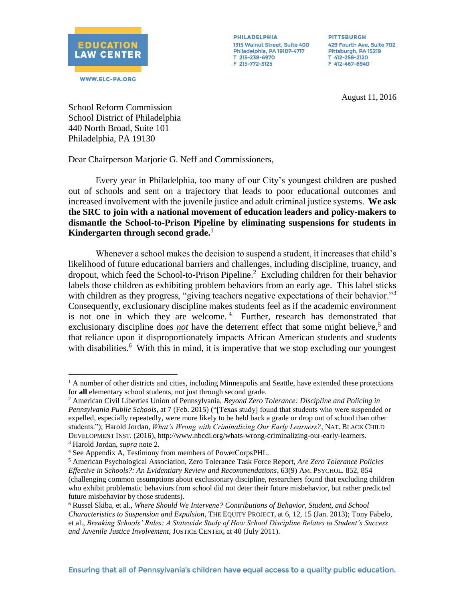

**PHILADELPHIA** 1315 Walnut Street, Suite 400 Philadelphia, PA 19107-4717 T 215-238-6970 F 215-772-3125

**PITTSBURGH** 429 Fourth Ave, Suite 702 Pittsburgh, PA 15219 T 412-258-2120 F 412-467-8940

August 11, 2016

School Reform Commission School District of Philadelphia 440 North Broad, Suite 101 Philadelphia, PA 19130

Dear Chairperson Marjorie G. Neff and Commissioners,

Every year in Philadelphia, too many of our City's youngest children are pushed out of schools and sent on a trajectory that leads to poor educational outcomes and increased involvement with the juvenile justice and adult criminal justice systems. **We ask the SRC to join with a national movement of education leaders and policy-makers to dismantle the School-to-Prison Pipeline by eliminating suspensions for students in Kindergarten through second grade.**<sup>1</sup>

Whenever a school makes the decision to suspend a student, it increases that child's likelihood of future educational barriers and challenges, including discipline, truancy, and dropout, which feed the School-to-Prison Pipeline. 2 Excluding children for their behavior labels those children as exhibiting problem behaviors from an early age. This label sticks with children as they progress, "giving teachers negative expectations of their behavior."<sup>3</sup> Consequently, exclusionary discipline makes students feel as if the academic environment is not one in which they are welcome.<sup>4</sup> Further, research has demonstrated that exclusionary discipline does *not* have the deterrent effect that some might believe,<sup>5</sup> and that reliance upon it disproportionately impacts African American students and students with disabilities.<sup>6</sup> With this in mind, it is imperative that we stop excluding our youngest

 $\overline{a}$ 

<sup>&</sup>lt;sup>1</sup> A number of other districts and cities, including Minneapolis and Seattle, have extended these protections for **all** elementary school students, not just through second grade.

<sup>2</sup> American Civil Liberties Union of Pennsylvania, *Beyond Zero Tolerance: Discipline and Policing in Pennsylvania Public Schools*, at 7 (Feb. 2015) ("[Texas study] found that students who were suspended or expelled, especially repeatedly, were more likely to be held back a grade or drop out of school than other students."); Harold Jordan, *What's Wrong with Criminalizing Our Early Learners?*, NAT. BLACK CHILD DEVELOPMENT INST. (2016)[, http://www.nbcdi.org/whats-wrong-criminalizing-our-early-learners.](http://www.nbcdi.org/whats-wrong-criminalizing-our-early-learners)

<sup>3</sup> Harold Jordan, *supra* note 2.

<sup>4</sup> See Appendix A, Testimony from members of PowerCorpsPHL.

<sup>5</sup> American Psychological Association, Zero Tolerance Task Force Report, *Are Zero Tolerance Policies Effective in Schools?: An Evidentiary Review and Recommendations*, 63(9) AM. PSYCHOL. 852, 854 (challenging common assumptions about exclusionary discipline, researchers found that excluding children who exhibit problematic behaviors from school did not deter their future misbehavior, but rather predicted future misbehavior by those students).

<sup>6</sup> Russel Skiba, et al., *Where Should We Intervene? Contributions of Behavior, Student, and School Characteristics to Suspension and Expulsion*, THE EQUITY PROJECT, at 6, 12, 15 (Jan. 2013); Tony Fabelo, et al., *Breaking Schools' Rules: A Statewide Study of How School Discipline Relates to Student's Success and Juvenile Justice Involvement*, JUSTICE CENTER, at 40 (July 2011).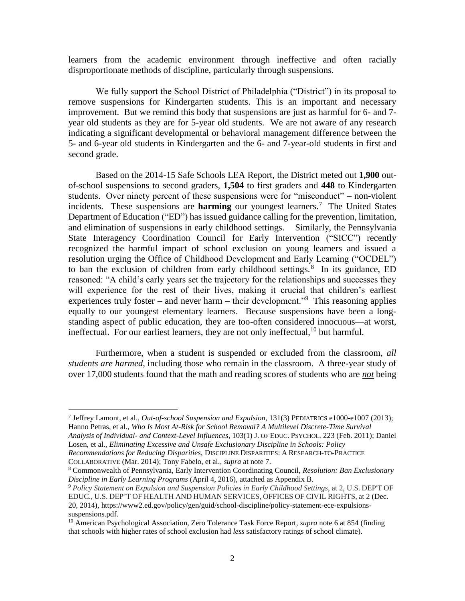learners from the academic environment through ineffective and often racially disproportionate methods of discipline, particularly through suspensions.

We fully support the School District of Philadelphia ("District") in its proposal to remove suspensions for Kindergarten students. This is an important and necessary improvement. But we remind this body that suspensions are just as harmful for 6- and 7 year old students as they are for 5-year old students. We are not aware of any research indicating a significant developmental or behavioral management difference between the 5- and 6-year old students in Kindergarten and the 6- and 7-year-old students in first and second grade.

Based on the 2014-15 Safe Schools LEA Report, the District meted out **1,900** outof-school suspensions to second graders, **1,504** to first graders and **448** to Kindergarten students. Over ninety percent of these suspensions were for "misconduct" – non-violent incidents. These suspensions are **harming** our youngest learners.<sup>7</sup> The United States Department of Education ("ED") has issued guidance calling for the prevention, limitation, and elimination of suspensions in early childhood settings. Similarly, the Pennsylvania State Interagency Coordination Council for Early Intervention ("SICC") recently recognized the harmful impact of school exclusion on young learners and issued a resolution urging the Office of Childhood Development and Early Learning ("OCDEL") to ban the exclusion of children from early childhood settings.<sup>8</sup> In its guidance, ED reasoned: "A child's early years set the trajectory for the relationships and successes they will experience for the rest of their lives, making it crucial that children's earliest experiences truly foster – and never harm – their development."<sup>9</sup> This reasoning applies equally to our youngest elementary learners. Because suspensions have been a longstanding aspect of public education, they are too-often considered innocuous—at worst, ineffectual. For our earliest learners, they are not only ineffectual,  $10$  but harmful.

Furthermore, when a student is suspended or excluded from the classroom, *all students are harmed*, including those who remain in the classroom. A three-year study of over 17,000 students found that the math and reading scores of students who are *not* being

COLLABORATIVE (Mar. 2014); Tony Fabelo, et al., *supra* at note 7.

 $\overline{a}$ 

<sup>7</sup> Jeffrey Lamont, et al., *Out-of-school Suspension and Expulsion*, 131(3) PEDIATRICS e1000-e1007 (2013); Hanno Petras, et al., *Who Is Most At-Risk for School Removal? A Multilevel Discrete-Time Survival Analysis of Individual- and Context-Level Influences*, 103(1) J. OF EDUC. PSYCHOL. 223 (Feb. 2011); Daniel Losen, et al., *Eliminating Excessive and Unsafe Exclusionary Discipline in Schools: Policy Recommendations for Reducing Disparities*, DISCIPLINE DISPARITIES: A RESEARCH-TO-PRACTICE

<sup>8</sup> Commonwealth of Pennsylvania, Early Intervention Coordinating Council, *Resolution: Ban Exclusionary Discipline in Early Learning Programs* (April 4, 2016), attached as Appendix B.

<sup>9</sup> *Policy Statement on Expulsion and Suspension Policies in Early Childhood Settings*, at 2*,* U.S. DEP'T OF EDUC., U.S. DEP'T OF HEALTH AND HUMAN SERVICES, OFFICES OF CIVIL RIGHTS, at 2 (Dec. 20, 2014), https://www2.ed.gov/policy/gen/guid/school-discipline/policy-statement-ece-expulsionssuspensions.pdf.

<sup>&</sup>lt;sup>10</sup> American Psychological Association, Zero Tolerance Task Force Report, *supra* note 6 at 854 (finding that schools with higher rates of school exclusion had *less* satisfactory ratings of school climate).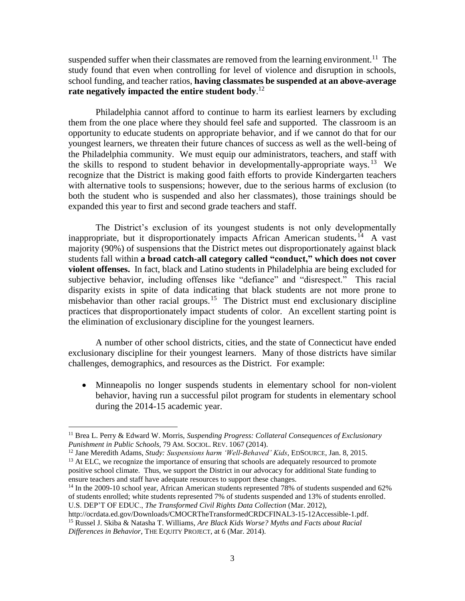suspended suffer when their classmates are removed from the learning environment.<sup>11</sup> The study found that even when controlling for level of violence and disruption in schools, school funding, and teacher ratios, **having classmates be suspended at an above-average rate negatively impacted the entire student body**. 12

Philadelphia cannot afford to continue to harm its earliest learners by excluding them from the one place where they should feel safe and supported. The classroom is an opportunity to educate students on appropriate behavior, and if we cannot do that for our youngest learners, we threaten their future chances of success as well as the well-being of the Philadelphia community. We must equip our administrators, teachers, and staff with the skills to respond to student behavior in developmentally-appropriate ways.<sup>13</sup> We recognize that the District is making good faith efforts to provide Kindergarten teachers with alternative tools to suspensions; however, due to the serious harms of exclusion (to both the student who is suspended and also her classmates), those trainings should be expanded this year to first and second grade teachers and staff.

The District's exclusion of its youngest students is not only developmentally inappropriate, but it disproportionately impacts African American students**.** 14 A vast majority (90%) of suspensions that the District metes out disproportionately against black students fall within **a broad catch-all category called "conduct," which does not cover violent offenses.** In fact, black and Latino students in Philadelphia are being excluded for subjective behavior, including offenses like "defiance" and "disrespect." This racial disparity exists in spite of data indicating that black students are not more prone to misbehavior than other racial groups.<sup>15</sup> The District must end exclusionary discipline practices that disproportionately impact students of color. An excellent starting point is the elimination of exclusionary discipline for the youngest learners.

A number of other school districts, cities, and the state of Connecticut have ended exclusionary discipline for their youngest learners. Many of those districts have similar challenges, demographics, and resources as the District. For example:

 Minneapolis no longer suspends students in elementary school for non-violent behavior, having run a successful pilot program for students in elementary school during the 2014-15 academic year.

 $\overline{a}$ 

http://ocrdata.ed.gov/Downloads/CMOCRTheTransformedCRDCFINAL3-15-12Accessible-1.pdf. <sup>15</sup> Russel J. Skiba & Natasha T. Williams, *Are Black Kids Worse? Myths and Facts about Racial Differences in Behavior*, THE EQUITY PROJECT, at 6 (Mar. 2014).

<sup>11</sup> Brea L. Perry & Edward W. Morris, *Suspending Progress: Collateral Consequences of Exclusionary Punishment in Public Schools,* 79 AM. SOCIOL. REV. 1067 (2014).

<sup>12</sup> Jane Meredith Adams, *Study: Suspensions harm 'Well-Behaved' Kids*, EDSOURCE, Jan. 8, 2015.

<sup>&</sup>lt;sup>13</sup> At ELC, we recognize the importance of ensuring that schools are adequately resourced to promote positive school climate. Thus, we support the District in our advocacy for additional State funding to ensure teachers and staff have adequate resources to support these changes.

<sup>&</sup>lt;sup>14</sup> In the 2009-10 school year, African American students represented 78% of students suspended and 62% of students enrolled; white students represented 7% of students suspended and 13% of students enrolled. U.S. DEP'T OF EDUC., *The Transformed Civil Rights Data Collection* (Mar. 2012),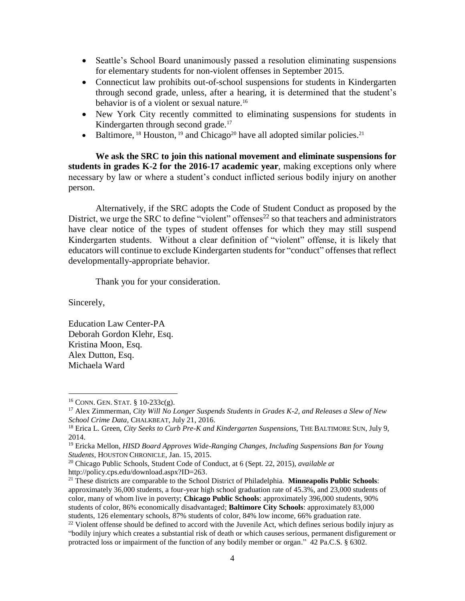- Seattle's School Board unanimously passed a resolution eliminating suspensions for elementary students for non-violent offenses in September 2015.
- Connecticut law prohibits out-of-school suspensions for students in Kindergarten through second grade, unless, after a hearing, it is determined that the student's behavior is of a violent or sexual nature.<sup>16</sup>
- New York City recently committed to eliminating suspensions for students in Kindergarten through second grade.<sup>17</sup>
- Baltimore, <sup>18</sup> Houston, <sup>19</sup> and Chicago<sup>20</sup> have all adopted similar policies.<sup>21</sup>

**We ask the SRC to join this national movement and eliminate suspensions for students in grades K-2 for the 2016-17 academic year**, making exceptions only where necessary by law or where a student's conduct inflicted serious bodily injury on another person.

Alternatively, if the SRC adopts the Code of Student Conduct as proposed by the District, we urge the SRC to define "violent" offenses<sup>22</sup> so that teachers and administrators have clear notice of the types of student offenses for which they may still suspend Kindergarten students. Without a clear definition of "violent" offense, it is likely that educators will continue to exclude Kindergarten students for "conduct" offenses that reflect developmentally-appropriate behavior.

Thank you for your consideration.

Sincerely,

 $\overline{a}$ 

Education Law Center-PA Deborah Gordon Klehr, Esq. Kristina Moon, Esq. Alex Dutton, Esq. Michaela Ward

 $16$  CONN. GEN. STAT.  $8$  10-233c(g).

<sup>17</sup> Alex Zimmerman, *City Will No Longer Suspends Students in Grades K-2, and Releases a Slew of New School Crime Data*, CHALKBEAT, July 21, 2016.

<sup>18</sup> Erica L. Green, *City Seeks to Curb Pre-K and Kindergarten Suspensions*, THE BALTIMORE SUN, July 9, 2014.

<sup>19</sup> Ericka Mellon, *HISD Board Approves Wide-Ranging Changes, Including Suspensions Ban for Young Students*, HOUSTON CHRONICLE, Jan. 15, 2015.

<sup>20</sup> Chicago Public Schools, Student Code of Conduct, at 6 (Sept. 22, 2015), *available at* http://policy.cps.edu/download.aspx?ID=263.

<sup>21</sup> These districts are comparable to the School District of Philadelphia. **Minneapolis Public Schools**: approximately 36,000 students, a four-year high school graduation rate of 45.3%, and 23,000 students of color, many of whom live in poverty; **Chicago Public Schools**: approximately 396,000 students, 90% students of color, 86% economically disadvantaged; **Baltimore City Schools**: approximately 83,000 students, 126 elementary schools, 87% students of color, 84% low income, 66% graduation rate.

 $^{22}$  Violent offense should be defined to accord with the Juvenile Act, which defines serious bodily injury as "bodily injury which creates a substantial risk of death or which causes serious, permanent disfigurement or protracted loss or impairment of the function of any bodily member or organ." 42 Pa.C.S. § 6302.